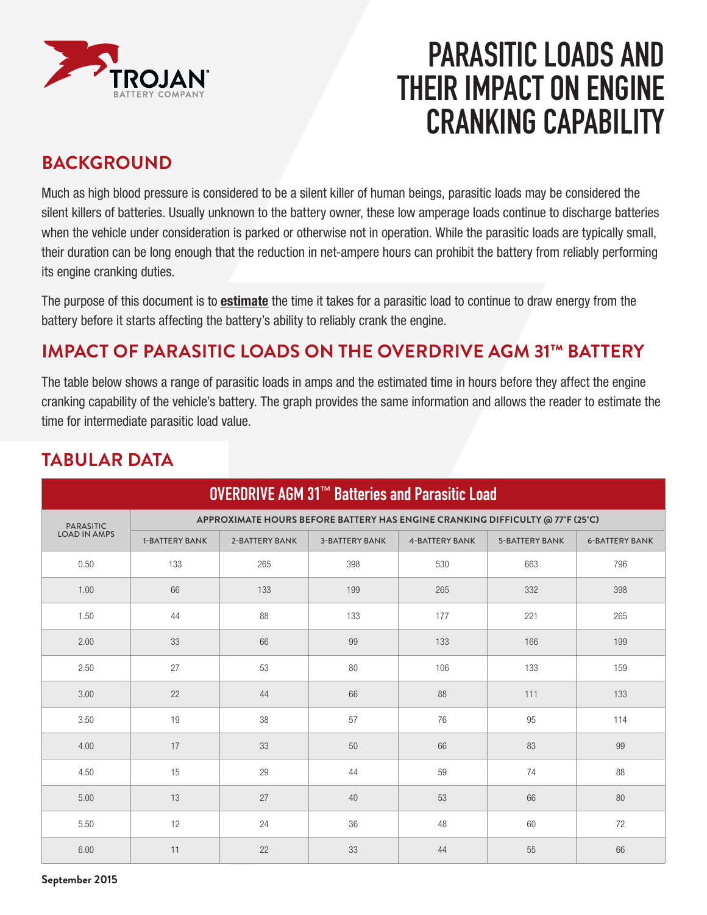

# **PARASITIC LOADS AND THEIR IMPACT ON ENGINE CRANKING CAPABILITY**

## **BACKGROUND**

Much as high blood pressure is considered to be a silent killer of human beings, parasitic loads may be considered the silent killers of batteries. Usually unknown to the battery owner, these low amperage loads continue to discharge batteries when the vehicle under consideration is parked or otherwise not in operation. While the parasitic loads are typically small, their duration can be long enough that the reduction in net-ampere hours can prohibit the battery from reliably performing its engine cranking duties.

The purpose of this document is to **estimate** the time it takes for a parasitic load to continue to draw energy from the battery before it starts affecting the battery's ability to reliably crank the engine.

# **IMPACT OF PARASITIC LOADS ON THE OVERDRIVE AGM 31™ BATTERY**

The table below shows a range of parasitic loads in amps and the estimated time in hours before they affect the engine cranking capability of the vehicle's battery. The graph provides the same information and allows the reader to estimate the time for intermediate parasitic load value.

| <b>OVERDRIVE AGM 31™ Batteries and Parasitic Load</b> |                                                                               |                |                       |                       |                       |                       |
|-------------------------------------------------------|-------------------------------------------------------------------------------|----------------|-----------------------|-----------------------|-----------------------|-----------------------|
| <b>PARASITIC</b><br><b>LOAD IN AMPS</b>               | APPROXIMATE HOURS BEFORE BATTERY HAS ENGINE CRANKING DIFFICULTY @ 77°F (25°C) |                |                       |                       |                       |                       |
|                                                       | <b>1-BATTERY BANK</b>                                                         | 2-BATTERY BANK | <b>3-BATTERY BANK</b> | <b>4-BATTERY BANK</b> | <b>5-BATTERY BANK</b> | <b>6-BATTERY BANK</b> |
| 0.50                                                  | 133                                                                           | 265            | 398                   | 530                   | 663                   | 796                   |
| 1.00                                                  | 66                                                                            | 133            | 199                   | 265                   | 332                   | 398                   |
| 1.50                                                  | 44                                                                            | 88             | 133                   | 177                   | 221                   | 265                   |
| 2.00                                                  | 33                                                                            | 66             | 99                    | 133                   | 166                   | 199                   |
| 2.50                                                  | 27                                                                            | 53             | 80                    | 106                   | 133                   | 159                   |
| 3.00                                                  | 22                                                                            | 44             | 66                    | 88                    | 111                   | 133                   |
| 3.50                                                  | 19                                                                            | 38             | 57                    | 76                    | 95                    | 114                   |
| 4.00                                                  | 17                                                                            | 33             | 50                    | 66                    | 83                    | 99                    |
| 4.50                                                  | 15                                                                            | 29             | 44                    | 59                    | 74                    | 88                    |
| 5.00                                                  | 13                                                                            | 27             | 40                    | 53                    | 66                    | 80                    |
| 5.50                                                  | 12                                                                            | 24             | 36                    | 48                    | 60                    | 72                    |
| 6.00                                                  | 11                                                                            | 22             | 33                    | 44                    | 55                    | 66                    |

## **TABULAR DATA**